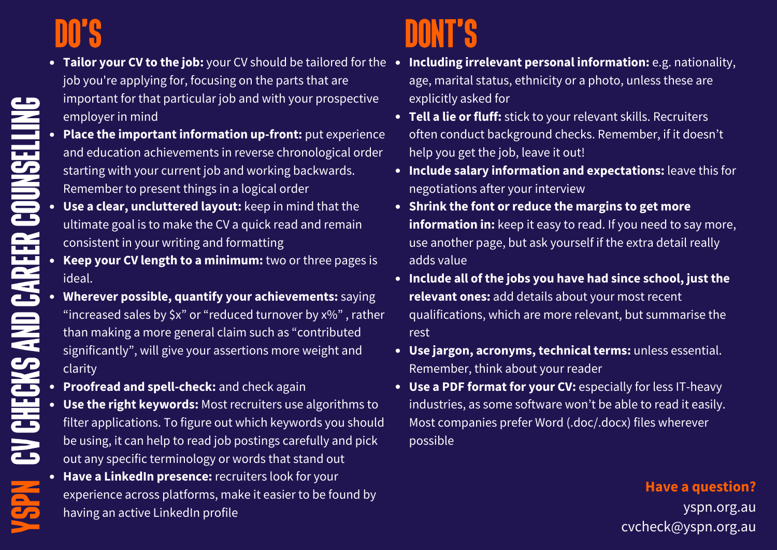# Do's

 $\blacktriangleright$ CA  $\blacksquare$  $\overline{\phantom{a}}$ 

C  $\Rightarrow$ C hec

k

 $\qquad \qquad \Box$ 

ee

rC D o $\qquad \qquad$ 

 $\overline{\phantom{a}}$ CD eline of the control of the control of the control of the control of the control of the control of the control of the control of the control of the control of the control of the control of the control of the control of the

lin

 $\mathbf{G}$ 

- job you're applying for, focusing on the parts that are important for that particular job and with your prospective employer in mind
- **Place the important information up-front:** put experience and education achievements in reverse chronological order starting with your current job and working backwards. Remember to present things in a logical order
- **Use a clear, uncluttered layout:** keep in mind that the ultimate goal is to make the CV a quick read and remain consistent in your writing and formatting
- CAR<br>. **Keep your CV length to a minimum:** two or three pages is ideal.
- san **Wherever possible, quantify your achievements:** saying "increased sales by \$x" or "reduced turnover by x%" , rather than making a more general claim such as "contributed significantly", will give your assertions more weight and clarity
	- **Proofread and spell-check:** and check again
	- **Use the right keywords:** Most recruiters use algorithms to filter applications. To figure out which keywords you should be using, it can help to read job postings carefully and pick out any specific terminology or words that stand out
	- **Have a LinkedIn presence:** recruiters look for your experience across platforms, make it easier to be found by having an active LinkedIn profile

# DONT'S

- **Tailor your CV to the job:** your CV should be tailored for the **Including irrelevant personal information:** e.g. nationality, age, marital status, ethnicity or a photo, unless these are explicitly asked for
	- **Tell a lie or fluff:** stick to your relevant skills. Recruiters often conduct background checks. Remember, if it doesn't help you get the job, leave it out!
	- **Include salary information and expectations:** leave this for negotiations after your interview
	- **Shrink the font or reduce the margins to get more information in:** keep it easy to read. If you need to say more, use another page, but ask yourself if the extra detail really adds value
	- **Include all of the jobs you have had since school, just the relevant ones:** add details about your most recent qualifications, which are more relevant, but summarise the rest
	- **Use jargon, acronyms, technical terms:** unless essential. Remember, think about your reader
	- **Use a PDF format for your CV:** especially for less IT-heavy industries, as some software won't be able to read it easily. Most companies prefer Word (.doc/.docx) files wherever possible

### **Have a question?**

yspn.org.au cvcheck@yspn.org.au